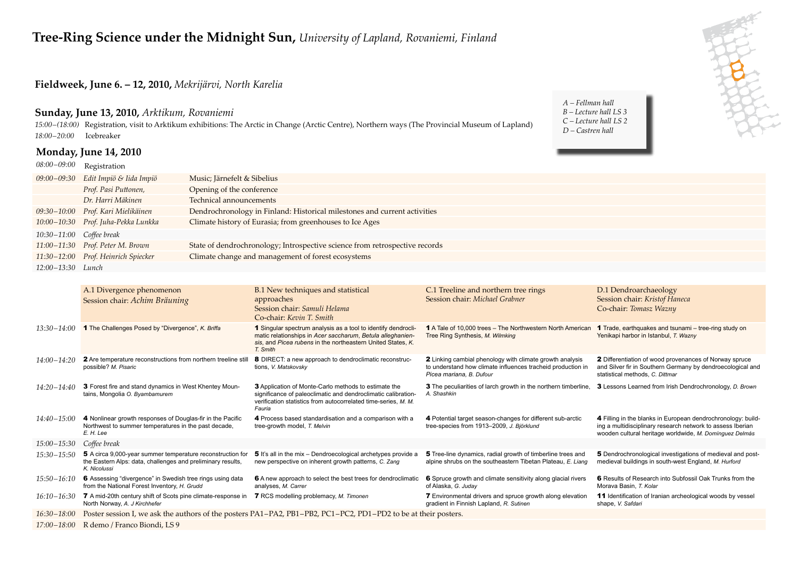#### **Fieldweek, June 6. – 12, 2010,** *Mekrijärvi, North Karelia*

#### **Sunday, June 13, 2010,** *Arktikum, Rovaniemi*

*15:00 – (18:00)* Registration, visit to Arktikum exhibitions: The Arctic in Change (Arctic Centre), Northern ways (The Provincial Museum of Lapland) *18:00 – 20:00* Icebreaker

#### **Monday, June 14, 2010**

*08:00 – 09:00* Registration

*A – Fellman hall B – Lecture hall LS 3 C – Lecture hall LS 2 D – Castren hall*



|                            | $08:00-09:00$ Registration          |                                                                             |
|----------------------------|-------------------------------------|-----------------------------------------------------------------------------|
|                            | 09:00-09:30 Edit Impiö & Iida Impiö | Music; Järnefelt & Sibelius                                                 |
|                            | Prof. Pasi Puttonen,                | Opening of the conference                                                   |
|                            | Dr. Harri Mäkinen                   | Technical announcements                                                     |
|                            | 09:30–10:00 Prof. Kari Mielikäinen  | Dendrochronology in Finland: Historical milestones and current activities   |
|                            | 10:00-10:30 Prof. Juha-Pekka Lunkka | Climate history of Eurasia; from greenhouses to Ice Ages                    |
| $10:30-11:00$ Coffee break |                                     |                                                                             |
|                            | 11:00-11:30 Prof. Peter M. Brown    | State of dendrochronology; Introspective science from retrospective records |
|                            | 11:30-12:00 Prof. Heinrich Spiecker | Climate change and management of forest ecosystems                          |
| 12:00-13:30 Lunch          |                                     |                                                                             |
|                            |                                     |                                                                             |

|                 | A.1 Divergence phenomenon<br>Session chair: Achim Bräuning                                                                                | B.1 New techniques and statistical<br>approaches<br>Session chair: Samuli Helama<br>Co-chair: Kevin T. Smith                                                                                             | C.1 Treeline and northern tree rings<br>Session chair: Michael Grabner                                                                              | D.1 Dendroarchaeology<br>Session chair: Kristof Haneca<br>Co-chair: Tomasz Wazny                                                                                                      |
|-----------------|-------------------------------------------------------------------------------------------------------------------------------------------|----------------------------------------------------------------------------------------------------------------------------------------------------------------------------------------------------------|-----------------------------------------------------------------------------------------------------------------------------------------------------|---------------------------------------------------------------------------------------------------------------------------------------------------------------------------------------|
| $13:30 - 14:00$ | 1 The Challenges Posed by "Divergence", K. Briffa                                                                                         | 1 Singular spectrum analysis as a tool to identify dendrocli-<br>matic relationships in Acer saccharum, Betula alleghanien-<br>sis, and Picea rubens in the northeastern United States, K.<br>T. Smith   | 1 A Tale of 10,000 trees – The Northwestern North American<br>Tree Ring Synthesis, M. Wilmking                                                      | <b>1</b> Trade, earthquakes and tsunami – tree-ring study on<br>Yenikapi harbor in Istanbul, T. Wazny                                                                                 |
| $14:00 - 14:20$ | 2 Are temperature reconstructions from northern treeline still<br>possible? M. Pisaric                                                    | 8 DIRECT: a new approach to dendroclimatic reconstruc-<br>tions, V. Matskovsky                                                                                                                           | 2 Linking cambial phenology with climate growth analysis<br>to understand how climate influences tracheid production in<br>Picea mariana, B. Dufour | <b>2</b> Differentiation of wood provenances of Norway spruce<br>and Silver fir in Southern Germany by dendroecological and<br>statistical methods. C. Dittmar                        |
| $14:20 - 14:40$ | 3 Forest fire and stand dynamics in West Khentey Moun-<br>tains, Mongolia O. Byambamurem                                                  | <b>3</b> Application of Monte-Carlo methods to estimate the<br>significance of paleoclimatic and dendroclimatic calibration-<br>verification statistics from autocorrelated time-series, M. M.<br>Fauria | 3 The peculiarities of larch growth in the northern timberline.<br>A. Shashkin                                                                      | 3 Lessons Learned from Irish Dendrochronology, D. Brown                                                                                                                               |
| $14:40 - 15:00$ | 4 Nonlinear growth responses of Douglas-fir in the Pacific<br>Northwest to summer temperatures in the past decade,<br>E. H. Lee           | 4 Process based standardisation and a comparison with a<br>tree-growth model, T. Melvin                                                                                                                  | 4 Potential target season-changes for different sub-arctic<br>tree-species from 1913-2009, J. Björklund                                             | 4 Filling in the blanks in European dendrochronology: build-<br>ing a multidisciplinary research network to assess Iberian<br>wooden cultural heritage worldwide, M. Domínguez Delmás |
| 15:00-15:30     | Coffee break                                                                                                                              |                                                                                                                                                                                                          |                                                                                                                                                     |                                                                                                                                                                                       |
| $15:30 - 15:50$ | 5 A circa 9,000-year summer temperature reconstruction for<br>the Eastern Alps: data, challenges and preliminary results,<br>K. Nicolussi | <b>5</b> It's all in the mix – Dendroecological archetypes provide a<br>new perspective on inherent growth patterns, C. Zang                                                                             | 5 Tree-line dynamics, radial growth of timberline trees and<br>alpine shrubs on the southeastern Tibetan Plateau. E. Liang                          | 5 Dendrochronological investigations of medieval and post-<br>medieval buildings in south-west England, M. Hurford                                                                    |
| $15:50 - 16:10$ | 6 Assessing "divergence" in Swedish tree rings using data<br>from the National Forest Inventory, H. Grudd                                 | 6 A new approach to select the best trees for dendroclimatic<br>analyses, M. Carrer                                                                                                                      | 6 Spruce growth and climate sensitivity along glacial rivers<br>of Alaska, G. Juday                                                                 | 6 Results of Research into Subfossil Oak Trunks from the<br>Morava Basin, T. Kolar                                                                                                    |
| $16:10 - 16:30$ | <b>7</b> A mid-20th century shift of Scots pine climate-response in<br>North Norway, A. J Kirchhefer                                      | 7 RCS modelling problemacy, M. Timonen                                                                                                                                                                   | 7 Environmental drivers and spruce growth along elevation<br>gradient in Finnish Lapland, R. Sutinen                                                | 11 Identification of Iranian archeological woods by vessel<br>shape, V. Safdari                                                                                                       |
| $16:30 - 18:00$ |                                                                                                                                           | Poster session I, we ask the authors of the posters PA1-PA2, PB1-PB2, PC1-PC2, PD1-PD2 to be at their posters.                                                                                           |                                                                                                                                                     |                                                                                                                                                                                       |
| $17:00 - 18:00$ | R demo / Franco Biondi, LS 9                                                                                                              |                                                                                                                                                                                                          |                                                                                                                                                     |                                                                                                                                                                                       |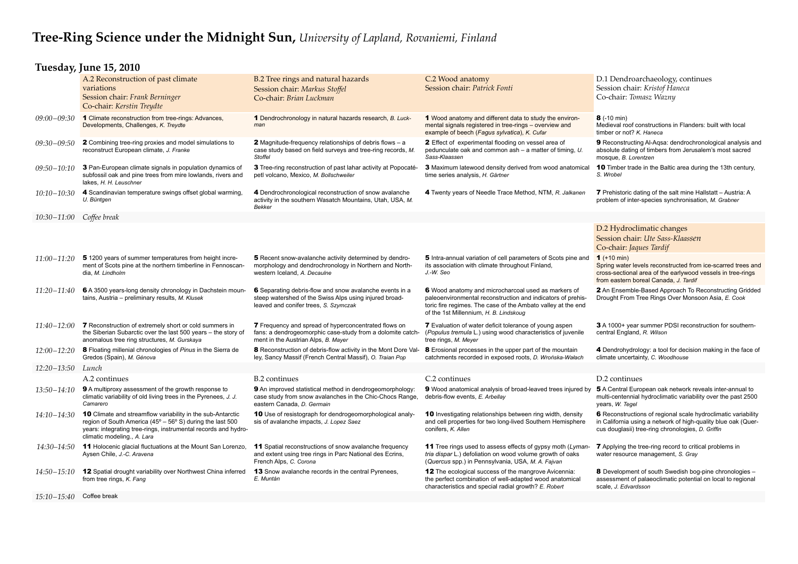#### **Tuesday, June 15, 2010**

|                 | A.2 Reconstruction of past climate<br>variations<br>Session chair: Frank Berninger<br>Co-chair: Kerstin Treydte                                                                                                                 | B.2 Tree rings and natural hazards<br>Session chair: Markus Stoffel<br>Co-chair: Brian Luckman                                                             | C.2 Wood anatomy<br>Session chair: Patrick Fonti                                                                                                                                                                             | D.1 Dendroarchaeology, continues<br>Session chair: Kristof Haneca<br>Co-chair: Tomasz Wazny                                                                                           |
|-----------------|---------------------------------------------------------------------------------------------------------------------------------------------------------------------------------------------------------------------------------|------------------------------------------------------------------------------------------------------------------------------------------------------------|------------------------------------------------------------------------------------------------------------------------------------------------------------------------------------------------------------------------------|---------------------------------------------------------------------------------------------------------------------------------------------------------------------------------------|
| $09:00 - 09:30$ | 1 Climate reconstruction from tree-rings: Advances,<br>Developments, Challenges, K. Treydte                                                                                                                                     | 1 Dendrochronology in natural hazards research, B. Luck-<br>man                                                                                            | 1 Wood anatomy and different data to study the environ-<br>mental signals registered in tree-rings - overview and<br>example of beech (Fagus sylvatica), K. Cufar                                                            | <b>8</b> $(-10 \text{ min})$<br>Medieval roof constructions in Flanders: built with local<br>timber or not? K. Haneca                                                                 |
| 09:30-09:50     | 2 Combining tree-ring proxies and model simulations to<br>reconstruct European climate, J. Franke                                                                                                                               | <b>2</b> Magnitude-frequency relationships of debris flows $-$ a<br>case study based on field surveys and tree-ring records, M.<br><b>Stoffel</b>          | 2 Effect of experimental flooding on vessel area of<br>pedunculate oak and common ash - a matter of timing, U.<br>Sass-Klaassen                                                                                              | 9 Reconstructing Al-Agsa: dendrochronological analysis and<br>absolute dating of timbers from Jerusalem's most sacred<br>mosque, B. Lorentzen                                         |
| 09:50–10:10     | 3 Pan-European climate signals in population dynamics of<br>subfossil oak and pine trees from mire lowlands, rivers and<br>lakes, H. H. Leuschner                                                                               | 3 Tree-ring reconstruction of past lahar activity at Popocaté-<br>petl volcano, Mexico, M. Bollschweiler                                                   | <b>3</b> Maximum latewood density derived from wood anatomical<br>time series analysis, H. Gärtner                                                                                                                           | <b>10</b> Timber trade in the Baltic area during the 13th century,<br>S. Wrobel                                                                                                       |
| 10:10–10:30     | 4 Scandinavian temperature swings offset global warming,<br>U. Büntgen                                                                                                                                                          | 4 Dendrochronological reconstruction of snow avalanche<br>activity in the southern Wasatch Mountains, Utah, USA, M.<br><b>Bekker</b>                       | 4 Twenty years of Needle Trace Method, NTM, R. Jalkanen                                                                                                                                                                      | <b>7</b> Prehistoric dating of the salt mine Hallstatt – Austria: A<br>problem of inter-species synchronisation, M. Grabner                                                           |
| 10:30-11:00     | Coffee break                                                                                                                                                                                                                    |                                                                                                                                                            |                                                                                                                                                                                                                              |                                                                                                                                                                                       |
|                 |                                                                                                                                                                                                                                 |                                                                                                                                                            |                                                                                                                                                                                                                              | D.2 Hydroclimatic changes<br>Session chair: Ute Sass-Klaassen<br>Co-chair: Jaques Tardif                                                                                              |
| 11:00-11:20     | 51200 years of summer temperatures from height incre-<br>ment of Scots pine at the northern timberline in Fennoscan-<br>dia, M. Lindholm                                                                                        | 5 Recent snow-avalanche activity determined by dendro-<br>morphology and dendrochronology in Northern and North-<br>western Iceland, A. Decaulne           | 5 Intra-annual variation of cell parameters of Scots pine and<br>its association with climate throughout Finland,<br>J.-W. Seo                                                                                               | $1$ (+10 min)<br>Spring water levels reconstructed from ice-scarred trees and<br>cross-sectional area of the earlywood vessels in tree-rings<br>from eastern boreal Canada, J. Tardif |
| 11:20-11:40     | 6 A 3500 years-long density chronology in Dachstein moun-<br>tains, Austria - preliminary results, M. Klusek                                                                                                                    | 6 Separating debris-flow and snow avalanche events in a<br>steep watershed of the Swiss Alps using injured broad-<br>leaved and conifer trees, S. Szymczak | 6 Wood anatomy and microcharcoal used as markers of<br>paleoenvironmental reconstruction and indicators of prehis-<br>toric fire regimes. The case of the Ambato valley at the end<br>of the 1st Millennium, H. B. Lindskoug | 2 An Ensemble-Based Approach To Reconstructing Gridded<br>Drought From Tree Rings Over Monsoon Asia, E. Cook                                                                          |
| $11:40 - 12:00$ | <b>7</b> Reconstruction of extremely short or cold summers in<br>the Siberian Subarctic over the last 500 years - the story of<br>anomalous tree ring structures, M. Gurskaya                                                   | 7 Frequency and spread of hyperconcentrated flows on<br>fans: a dendrogeomorphic case-study from a dolomite catch-<br>ment in the Austrian Alps, B. Mayer  | <b>7</b> Evaluation of water deficit tolerance of young aspen<br>(Populus tremula L.) using wood characteristics of juvenile<br>tree rings, M. Meyer                                                                         | 3 A 1000+ year summer PDSI reconstruction for southern-<br>central England, R. Wilson                                                                                                 |
| 12:00-12:20     | 8 Floating millenial chronologies of Pinus in the Sierra de<br>Gredos (Spain), M. Génova                                                                                                                                        | 8 Reconstruction of debris-flow activity in the Mont Dore Val-<br>ley, Sancy Massif (French Central Massif), O. Traian Pop                                 | 8 Erosional processes in the upper part of the mountain<br>catchments recorded in exposed roots, D. Wrońska-Wałach                                                                                                           | 4 Dendrohydrology: a tool for decision making in the face of<br>climate uncertainty, C. Woodhouse                                                                                     |
| $12:20 - 13:50$ | Lunch                                                                                                                                                                                                                           |                                                                                                                                                            |                                                                                                                                                                                                                              |                                                                                                                                                                                       |
|                 | A.2 continues                                                                                                                                                                                                                   | <b>B.2</b> continues                                                                                                                                       | C.2 continues                                                                                                                                                                                                                | D.2 continues                                                                                                                                                                         |
| 13:50-14:10     | <b>9</b> A multiproxy assessment of the growth response to<br>climatic variability of old living trees in the Pyrenees, J. J.<br>Camarero                                                                                       | 9 An improved statistical method in dendrogeomorphology:<br>case study from snow avalanches in the Chic-Chocs Range,<br>eastern Canada, D. Germain         | 9 Wood anatomical analysis of broad-leaved trees injured by<br>debris-flow events, E. Arbellay                                                                                                                               | 5 A Central European oak network reveals inter-annual to<br>multi-centennial hydroclimatic variability over the past 2500<br>years, W. Tegel                                          |
| $14:10 - 14:30$ | <b>10</b> Climate and streamflow variability in the sub-Antarctic<br>region of South America (45° – 56° S) during the last 500<br>years: integrating tree-rings, instrumental records and hydro-<br>climatic modeling., A. Lara | 10 Use of resistograph for dendrogeomorphological analy-<br>sis of avalanche impacts, J. Lopez Saez                                                        | <b>10</b> Investigating relationships between ring width, density<br>and cell properties for two long-lived Southern Hemisphere<br>conifers, K. Allen                                                                        | 6 Reconstructions of regional scale hydroclimatic variability<br>in California using a network of high-quality blue oak (Quer-<br>cus douglasii) tree-ring chronologies, D. Griffin   |
| 14:30–14:50     | 11 Holocenic glacial fluctuations at the Mount San Lorenzo,<br>Aysen Chile, J.-C. Aravena                                                                                                                                       | 11 Spatial reconstructions of snow avalanche frequency<br>and extent using tree rings in Parc National des Ecrins,<br>French Alps, C. Corona               | 11 Tree rings used to assess effects of gypsy moth (Lyman-<br>tria dispar L.) defoliation on wood volume growth of oaks<br>(Quercus spp.) in Pennsylvania, USA, M. A. Fajvan                                                 | <b>7</b> Applying the tree-ring record to critical problems in<br>water resource management, S. Gray                                                                                  |
| 14:50–15:10     | 12 Spatial drought variability over Northwest China inferred<br>from tree rings, K. Fang                                                                                                                                        | <b>13</b> Snow avalanche records in the central Pyrenees,<br>E. Muntán                                                                                     | <b>12</b> The ecological success of the mangrove Avicennia:<br>the perfect combination of well-adapted wood anatomical<br>characteristics and special radial growth? E. Robert                                               | <b>8</b> Development of south Swedish bog-pine chronologies –<br>assessment of palaeoclimatic potential on local to regional<br>scale, J. Edvardsson                                  |
| $15:10 - 15:40$ | Coffee break                                                                                                                                                                                                                    |                                                                                                                                                            |                                                                                                                                                                                                                              |                                                                                                                                                                                       |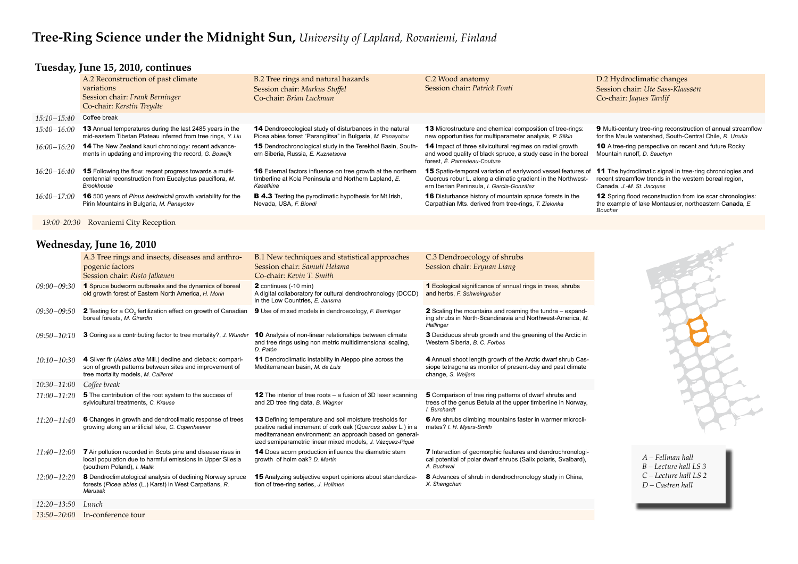### **Tuesday, June 15, 2010, continues**

|                 | A.2 Reconstruction of past climate<br>variations<br>Session chair: Frank Berninger<br>Co-chair: Kerstin Treydte                          | B.2 Tree rings and natural hazards<br>Session chair: Markus Stoffel<br>Co-chair: Brian Luckman                                            | C.2 Wood anatomy<br>Session chair: Patrick Fonti                                                                                                                                 | D.2 Hydroclimatic changes<br>Session chair: Ute Sass-Klaassen<br>Co-chair: Jaques Tardif                                                                |
|-----------------|------------------------------------------------------------------------------------------------------------------------------------------|-------------------------------------------------------------------------------------------------------------------------------------------|----------------------------------------------------------------------------------------------------------------------------------------------------------------------------------|---------------------------------------------------------------------------------------------------------------------------------------------------------|
| $15:10 - 15:40$ | Coffee break                                                                                                                             |                                                                                                                                           |                                                                                                                                                                                  |                                                                                                                                                         |
| $15:40 - 16:00$ | <b>13</b> Annual temperatures during the last 2485 years in the<br>mid-eastern Tibetan Plateau inferred from tree rings, Y. Liu          | 14 Dendroecological study of disturbances in the natural<br>Picea abies forest "Paranglitsa" in Bulgaria, M. Panayotov                    | <b>13</b> Microstructure and chemical composition of tree-rings:<br>new opportunities for multiparameter analysis, P. Silkin                                                     | <b>9</b> Multi-century tree-ring reconstruction of annual streamflow<br>for the Maule watershed, South-Central Chile, R. Urrutia                        |
| $16:00 - 16:20$ | <b>14</b> The New Zealand kauri chronology: recent advance-<br>ments in updating and improving the record, G. Boswijk                    | <b>15</b> Dendrochronological study in the Terekhol Basin, South-<br>ern Siberia, Russia, E. Kuznetsova                                   | <b>14</b> Impact of three silvicultural regimes on radial growth<br>and wood quality of black spruce, a study case in the boreal<br>forest, É. Pamerleau-Couture                 | <b>10</b> A tree-ring perspective on recent and future Rocky<br>Mountain runoff, D. Sauchyn                                                             |
| $16:20 - 16:40$ | <b>15</b> Following the flow: recent progress towards a multi-<br>centennial reconstruction from Eucalyptus pauciflora, M.<br>Brookhouse | <b>16</b> External factors influence on tree growth at the northern<br>timberline at Kola Peninsula and Northern Lapland, E.<br>Kasatkina | <b>15</b> Spatio-temporal variation of earlywood vessel features of<br>Quercus robur L. along a climatic gradient in the Northwest-<br>ern Iberian Peninsula, I. García-González | <b>11</b> The hydroclimatic signal in tree-ring chronologies and<br>recent streamflow trends in the western boreal region,<br>Canada, J.-M. St. Jacques |
| $16:40 - 17:00$ | <b>16</b> 500 years of Pinus heldreichii growth variability for the<br>Pirin Mountains in Bulgaria, M. Panayotov                         | <b>B 4.3</b> Testing the pyroclimatic hypothesis for Mt. Irish,<br>Nevada, USA, F. Biondi                                                 | <b>16</b> Disturbance history of mountain spruce forests in the<br>Carpathian Mts. derived from tree-rings, T. Zielonka                                                          | <b>12</b> Spring flood reconstruction from ice scar chronologies:<br>the example of lake Montausier, northeastern Canada, E.<br>Boucher                 |

*A – Fellman hall B – Lecture hall LS 3 C – Lecture hall LS 2 D – Castren hall*

 *19:00-20:30* Rovaniemi City Reception

#### **Wednesday, June 16, 2010**

|                 | A.3 Tree rings and insects, diseases and anthro-<br>pogenic factors<br>Session chair: Risto Jalkanen                                                            | B.1 New techniques and statistical approaches<br>Session chair: Samuli Helama<br>Co-chair: Kevin T. Smith                                                                                                                                                | C.3 Dendroecology of shrubs<br>Session chair: Eryuan Liang                                                                                      |
|-----------------|-----------------------------------------------------------------------------------------------------------------------------------------------------------------|----------------------------------------------------------------------------------------------------------------------------------------------------------------------------------------------------------------------------------------------------------|-------------------------------------------------------------------------------------------------------------------------------------------------|
| $09:00 - 09:30$ | 1 Spruce budworm outbreaks and the dynamics of boreal<br>old growth forest of Eastern North America, H. Morin                                                   | <b>2</b> continues (-10 min)<br>A digital collaboratory for cultural dendrochronology (DCCD)<br>in the Low Countries, E. Jansma                                                                                                                          | 1 Ecological significance of annual rings in trees, shrubs<br>and herbs, F. Schweingruber                                                       |
| $09:30 - 09:50$ | 2 Testing for a CO <sub>2</sub> fertilization effect on growth of Canadian<br>boreal forests, M. Girardin                                                       | <b>9</b> Use of mixed models in dendroecology, F. Berninger                                                                                                                                                                                              | 2 Scaling the mountains and roaming the tundra - expand-<br>ing shrubs in North-Scandinavia and Northwest-America, M.<br>Hallinger              |
| $09:50 - 10:10$ | 3 Coring as a contributing factor to tree mortality?, J. Wunder                                                                                                 | <b>10</b> Analysis of non-linear relationships between climate<br>and tree rings using non metric multidimensional scaling,<br>D. Patón                                                                                                                  | 3 Deciduous shrub growth and the greening of the Arctic in<br>Western Siberia, B. C. Forbes                                                     |
| $10:10 - 10:30$ | 4 Silver fir (Abies alba Mill.) decline and dieback: compari-<br>son of growth patterns between sites and improvement of<br>tree mortality models, M. Cailleret | 11 Dendroclimatic instability in Aleppo pine across the<br>Mediterranean basin, M. de Luis                                                                                                                                                               | 4 Annual shoot length growth of the Arctic dwarf shrub Cas-<br>siope tetragona as monitor of present-day and past climate<br>change, S. Weijers |
| $10:30 - 11:00$ | Coffee break                                                                                                                                                    |                                                                                                                                                                                                                                                          |                                                                                                                                                 |
| $11:00 - 11:20$ | 5 The contribution of the root system to the success of<br>sylvicultural treatments, C. Krause                                                                  | <b>12</b> The interior of tree roots $-$ a fusion of 3D laser scanning<br>and 2D tree ring data, B. Wagner                                                                                                                                               | 5 Comparison of tree ring patterns of dwarf shrubs and<br>trees of the genus Betula at the upper timberline in Norway.<br>I. Burchardt          |
| $11:20 - 11:40$ | 6 Changes in growth and dendroclimatic response of trees<br>growing along an artificial lake, C. Copenheaver                                                    | <b>13</b> Defining temperature and soil moisture tresholds for<br>positive radial increment of cork oak (Quercus suber L.) in a<br>mediterranean environment: an approach based on general-<br>ized semiparametric linear mixed models, J. Vázquez-Piqué | 6 Are shrubs climbing mountains faster in warmer microcli-<br>mates? I. H. Myers-Smith                                                          |
| $11:40 - 12:00$ | <b>7</b> Air pollution recorded in Scots pine and disease rises in<br>local population due to harmful emissions in Upper Silesia<br>(southern Poland), I. Malik | 14 Does acorn production influence the diametric stem<br>growth of holm oak? D. Martin                                                                                                                                                                   | 7 Interaction of geomorphic features and dendrochronologi-<br>cal potential of polar dwarf shrubs (Salix polaris, Svalbard),<br>A. Buchwal      |
| $12:00 - 12:20$ | 8 Dendroclimatological analysis of declining Norway spruce<br>forests (Picea abies (L.) Karst) in West Carpatians, R.<br>Marusak                                | 15 Analyzing subjective expert opinions about standardiza-<br>tion of tree-ring series, J. Hollmen                                                                                                                                                       | 8 Advances of shrub in dendrochronology study in China,<br>X. Shengchun                                                                         |
| $12:20 - 13:50$ | Lunch                                                                                                                                                           |                                                                                                                                                                                                                                                          |                                                                                                                                                 |
|                 |                                                                                                                                                                 |                                                                                                                                                                                                                                                          |                                                                                                                                                 |

*13:50 – 20:00* In-conference tour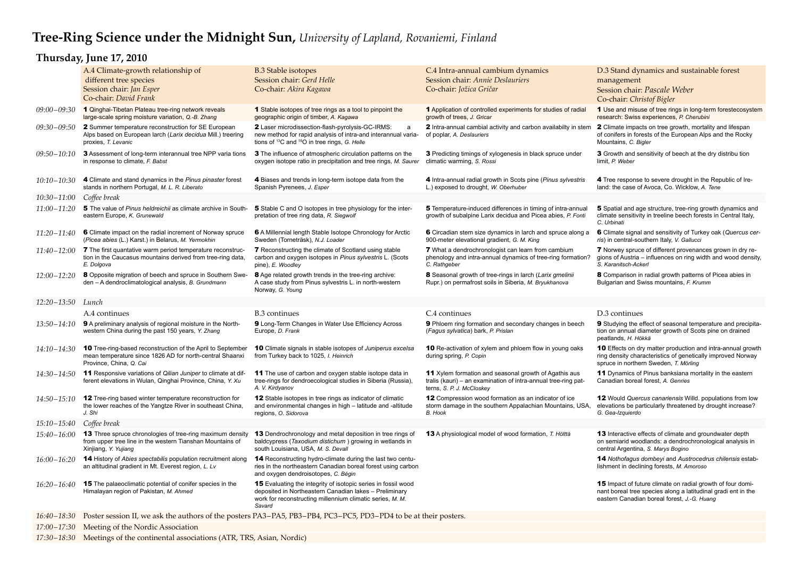## **Thursday, June 17, 2010**

|                   | A.4 Climate-growth relationship of<br>different tree species<br>Session chair: Jan Esper                                                                  | <b>B.3 Stable isotopes</b><br>Session chair: Gerd Helle<br>Co-chair: Akira Kagawa                                                                                                                     | C.4 Intra-annual cambium dynamics<br>Session chair: Annie Deslauriers<br>Co-chair: Jožica Gričar                                                            | D.3 Stand dynamics and sustainable forest<br>management<br>Session chair: Pascale Weber                                                                                           |
|-------------------|-----------------------------------------------------------------------------------------------------------------------------------------------------------|-------------------------------------------------------------------------------------------------------------------------------------------------------------------------------------------------------|-------------------------------------------------------------------------------------------------------------------------------------------------------------|-----------------------------------------------------------------------------------------------------------------------------------------------------------------------------------|
| 09:00-09:30       | Co-chair: David Frank<br>1 Qinghai-Tibetan Plateau tree-ring network reveals<br>large-scale spring moisture variation, Q.-B. Zhang                        | <b>1</b> Stable isotopes of tree rings as a tool to pinpoint the<br>geographic origin of timber, A. Kagawa                                                                                            | 1 Application of controlled experiments for studies of radial<br>growth of trees, J. Gricar                                                                 | Co-chair: Christof Bigler<br>1 Use and misuse of tree rings in long-term forestecosystem<br>research: Swiss experiences, P. Cherubini                                             |
| $09:30 - 09:50$   | 2 Summer temperature reconstruction for SE European<br>Alps based on European larch (Larix decidua Mill.) treering<br>proxies, T. Levanic                 | 2 Laser microdissection-flash-pyrolysis-GC-IRMS:<br>a<br>new method for rapid analysis of intra-and interannual varia-<br>tions of <sup>13</sup> C and <sup>18</sup> O in tree rings, G. Helle        | 2 Intra-annual cambial activity and carbon availabilty in stem<br>of poplar, A. Deslauriers                                                                 | 2 Climate impacts on tree growth, mortality and lifespan<br>of conifers in forests of the European Alps and the Rocky<br>Mountains, C. Bigler                                     |
| $09:50 - 10:10$   | 3 Assessment of long-term interannual tree NPP varia tions<br>in response to climate, F. Babst                                                            | <b>3</b> The influence of atmospheric circulation patterns on the<br>oxygen isotope ratio in precipitation and tree rings, M. Saurer                                                                  | 3 Predicting timings of xylogenesis in black spruce under<br>climatic warming, S. Rossi                                                                     | 3 Growth and sensitivity of beech at the dry distribu tion<br>limit, P. Weber                                                                                                     |
| $10:10 - 10:30$   | 4 Climate and stand dynamics in the Pinus pinaster forest<br>stands in northern Portugal, M. L. R. Liberato                                               | 4 Biases and trends in long-term isotope data from the<br>Spanish Pyrenees, J. Esper                                                                                                                  | 4 Intra-annual radial growth in Scots pine (Pinus sylvestris<br>L.) exposed to drought, W. Oberhuber                                                        | 4 Tree response to severe drought in the Republic of Ire-<br>land: the case of Avoca, Co. Wicklow, A. Tene                                                                        |
| 10:30-11:00       | Coffee break                                                                                                                                              |                                                                                                                                                                                                       |                                                                                                                                                             |                                                                                                                                                                                   |
| $11:00 - 11:20$   | 5 The value of Pinus heldreichii as climate archive in South-<br>eastern Europe, K. Grunewald                                                             | 5 Stable C and O isotopes in tree physiology for the inter-<br>pretation of tree ring data, R. Siegwolf                                                                                               | 5 Temperature-induced differences in timing of intra-annual<br>growth of subalpine Larix decidua and Picea abies, P. Fonti                                  | 5 Spatial and age structure, tree-ring growth dynamics and<br>climate sensitivity in treeline beech forests in Central Italy,<br>C. Urbinati                                      |
| 11:20–11:40       | 6 Climate impact on the radial increment of Norway spruce<br>(Picea abies (L.) Karst.) in Belarus, M. Yermokhin                                           | 6 A Millennial length Stable Isotope Chronology for Arctic<br>Sweden (Torneträsk), N.J. Loader                                                                                                        | 6 Circadian stem size dynamics in larch and spruce along a<br>900-meter elevational gradient, G. M. King                                                    | 6 Climate signal and sensitivity of Turkey oak (Quercus cer-<br>ris) in central-southern Italy, V. Gallucci                                                                       |
| $11:40 - 12:00$   | 7 The first quantative warm period temperature reconstruc-<br>tion in the Caucasus mountains derived from tree-ring data,<br>E. Dolgova                   | 7 Reconstructing the climate of Scotland using stable<br>carbon and oxygen isotopes in Pinus sylvestris L. (Scots<br>pine), E. Woodley                                                                | 7 What a dendrochronologist can learn from cambium<br>phenology and intra-annual dynamics of tree-ring formation?<br>C. Rathgeber                           | 7 Norwey spruce of different provenances grown in dry re-<br>gions of Austria - influences on ring width and wood density,<br>S. Karanitsch-Ackerl                                |
| $12:00 - 12:20$   | 8 Opposite migration of beech and spruce in Southern Swe-<br>den - A dendroclimatological analysis, B. Grundmann                                          | 8 Age related growth trends in the tree-ring archive:<br>A case study from Pinus sylvestris L. in north-western<br>Norway, G. Young                                                                   | 8 Seasonal growth of tree-rings in larch (Larix gmelinii<br>Rupr.) on permafrost soils in Siberia, M. Bryukhanova                                           | 8 Comparison in radial growth patterns of Picea abies in<br>Bulgarian and Swiss mountains, F. Krumm                                                                               |
| 12:20-13:50 Lunch |                                                                                                                                                           |                                                                                                                                                                                                       |                                                                                                                                                             |                                                                                                                                                                                   |
|                   | A.4 continues                                                                                                                                             | <b>B.3</b> continues                                                                                                                                                                                  | C.4 continues                                                                                                                                               | D.3 continues                                                                                                                                                                     |
| 13:50-14:10       | 9 A preliminary analysis of regional moisture in the North-<br>western China during the past 150 years, Y. Zhang                                          | 9 Long-Term Changes in Water Use Efficiency Across<br>Europe, D. Frank                                                                                                                                | 9 Phloem ring formation and secondary changes in beech<br>(Fagus sylvatica) bark, P. Prislan                                                                | 9 Studying the effect of seasonal temperature and precipita-<br>tion on annual diameter growth of Scots pine on drained<br>peatlands, H. Hökkä                                    |
| $14:10 - 14:30$   | <b>10</b> Tree-ring-based reconstruction of the April to September<br>mean temperature since 1826 AD for north-central Shaanxi<br>Province, China, Q. Cai | <b>10</b> Climate signals in stable isotopes of Juniperus excelsa<br>from Turkey back to 1025, <i>I. Heinrich</i>                                                                                     | <b>10</b> Re-activation of xylem and phloem flow in young oaks<br>during spring, P. Copin                                                                   | 10 Effects on dry matter production and intra-annual growth<br>ring density characteristics of genetically improved Norway<br>spruce in northern Sweden, T. Mörling               |
| 14:30–14:50       | 11 Responsive variations of Qilian Juniper to climate at dif-<br>ferent elevations in Wulan, Qinghai Province, China, Y. Xu                               | <b>11</b> The use of carbon and oxygen stable isotope data in<br>tree-rings for dendroecological studies in Siberia (Russia),<br>A. V. Kirdyanov                                                      | <b>11</b> Xylem formation and seasonal growth of Agathis aus<br>tralis (kauri) - an examination of intra-annual tree-ring pat-<br>terns, S. P. J. McCloskey | 11 Dynamics of Pinus banksiana mortality in the eastern<br>Canadian boreal forest, A. Genries                                                                                     |
| $14:50 - 15:10$   | 12 Tree-ring based winter temperature reconstruction for<br>the lower reaches of the Yangtze River in southeast China,<br>J. Shi                          | 12 Stable isotopes in tree rings as indicator of climatic<br>and environmental changes in high - latitude and -altitude<br>regions, O. Sidorova                                                       | 12 Compression wood formation as an indicator of ice<br>storm damage in the southern Appalachian Mountains, USA,<br><b>B.</b> Hook                          | 12 Would Quercus canariensis Willd. populations from low<br>elevations be particularly threatened by drought increase?<br>G. Gea-Izquierdo                                        |
| $15:10 - 15:40$   | Coffee break                                                                                                                                              |                                                                                                                                                                                                       |                                                                                                                                                             |                                                                                                                                                                                   |
| $15:40 - 16:00$   | 13 Three spruce chronologies of tree-ring maximum density<br>from upper tree line in the western Tianshan Mountains of<br>Xinjiang, Y. Yujiang            | 13 Dendrochronology and metal deposition in tree rings of<br>baldcypress (Taxodium distichum) growing in wetlands in<br>south Louisiana, USA, M. S. Devall                                            | 13 A physiological model of wood formation, T. Hölttä                                                                                                       | <b>13</b> Interactive effects of climate and groundwater depth<br>on semiarid woodlands: a dendrochronological analysis in<br>central Argentina, S. Marys Bogino                  |
| $16:00 - 16:20$   | <b>14</b> History of Abies spectabilis population recruitment along<br>an altitudinal gradient in Mt. Everest region, L. Lv                               | <b>14</b> Reconstructing hydro-climate during the last two centu-<br>ries in the northeastern Canadian boreal forest using carbon<br>and oxygen dendroisotopes, C. Bégin                              |                                                                                                                                                             | <b>14</b> Nothofagus dombeyi and Austrocedrus chilensis estab-<br>lishment in declining forests, M. Amoroso                                                                       |
| $16:20 - 16:40$   | <b>15</b> The palaeoclimatic potential of conifer species in the<br>Himalayan region of Pakistan, M. Ahmed                                                | <b>15</b> Evaluating the integrity of isotopic series in fossil wood<br>deposited in Northeastern Canadian lakes - Preliminary<br>work for reconstructing millennium climatic series, M. M.<br>Savard |                                                                                                                                                             | <b>15</b> Impact of future climate on radial growth of four domi-<br>nant boreal tree species along a latitudinal gradi ent in the<br>eastern Canadian boreal forest, J.-G. Huang |
|                   |                                                                                                                                                           | 16:40-18:30 Poster session II, we ask the authors of the posters PA3-PA5, PB3-PB4, PC3-PC5, PD3-PD4 to be at their posters.                                                                           |                                                                                                                                                             |                                                                                                                                                                                   |
|                   | $17.00$ $17.20$ Meeting of the Meeting Association                                                                                                        |                                                                                                                                                                                                       |                                                                                                                                                             |                                                                                                                                                                                   |

*17:00 – 17:30* Meeting of the Nordic Association

*17:30 – 18:30* Meetings of the continental associations (ATR, TRS, Asian, Nordic)